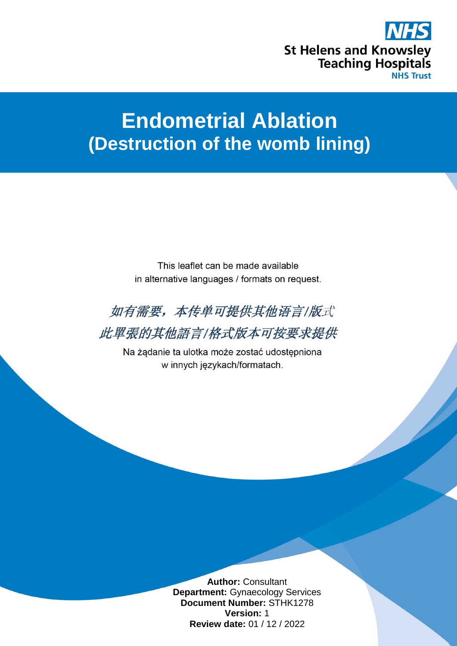

# **Endometrial Ablation (Destruction of the womb lining)**

This leaflet can be made available in alternative languages / formats on request.



此單張的其他語言/格式版本可按要求提供

Na żądanie ta ulotka może zostać udostępniona w innych językach/formatach.

> **Author:** Consultant **Department:** Gynaecology Services **Document Number:** STHK1278 **Version:** 1 **Review date:** 01 / 12 / 2022

1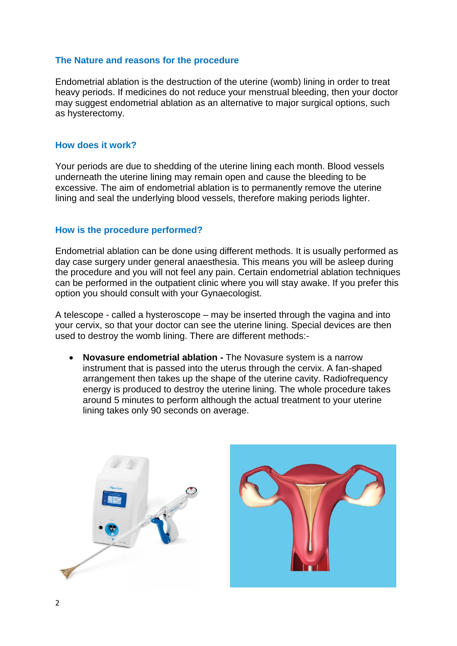#### **The Nature and reasons for the procedure**

Endometrial ablation is the destruction of the uterine (womb) lining in order to treat heavy periods. If medicines do not reduce your menstrual bleeding, then your doctor may suggest endometrial ablation as an alternative to major surgical options, such as hysterectomy.

#### **How does it work?**

Your periods are due to shedding of the uterine lining each month. Blood vessels underneath the uterine lining may remain open and cause the bleeding to be excessive. The aim of endometrial ablation is to permanently remove the uterine lining and seal the underlying blood vessels, therefore making periods lighter.

#### **How is the procedure performed?**

Endometrial ablation can be done using different methods. It is usually performed as day case surgery under general anaesthesia. This means you will be asleep during the procedure and you will not feel any pain. Certain endometrial ablation techniques can be performed in the outpatient clinic where you will stay awake. If you prefer this option you should consult with your Gynaecologist.

A telescope - called a hysteroscope – may be inserted through the vagina and into your cervix, so that your doctor can see the uterine lining. Special devices are then used to destroy the womb lining. There are different methods:-

 **Novasure endometrial ablation -** The Novasure system is a narrow instrument that is passed into the uterus through the cervix. A fan-shaped arrangement then takes up the shape of the uterine cavity. Radiofrequency energy is produced to destroy the uterine lining. The whole procedure takes around 5 minutes to perform although the actual treatment to your uterine lining takes only 90 seconds on average.



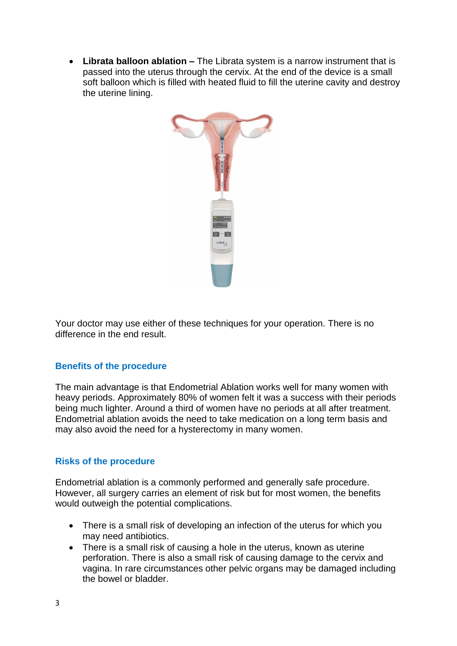**Librata balloon ablation –** The Librata system is a narrow instrument that is passed into the uterus through the cervix. At the end of the device is a small soft balloon which is filled with heated fluid to fill the uterine cavity and destroy the uterine lining.



Your doctor may use either of these techniques for your operation. There is no difference in the end result.

#### **Benefits of the procedure**

The main advantage is that Endometrial Ablation works well for many women with heavy periods. Approximately 80% of women felt it was a success with their periods being much lighter. Around a third of women have no periods at all after treatment. Endometrial ablation avoids the need to take medication on a long term basis and may also avoid the need for a hysterectomy in many women.

# **Risks of the procedure**

Endometrial ablation is a commonly performed and generally safe procedure. However, all surgery carries an element of risk but for most women, the benefits would outweigh the potential complications.

- There is a small risk of developing an infection of the uterus for which you may need antibiotics.
- There is a small risk of causing a hole in the uterus, known as uterine perforation. There is also a small risk of causing damage to the cervix and vagina. In rare circumstances other pelvic organs may be damaged including the bowel or bladder.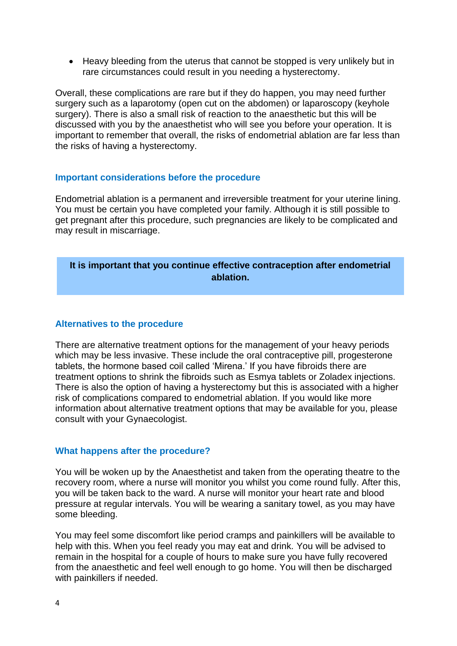• Heavy bleeding from the uterus that cannot be stopped is very unlikely but in rare circumstances could result in you needing a hysterectomy.

Overall, these complications are rare but if they do happen, you may need further surgery such as a laparotomy (open cut on the abdomen) or laparoscopy (keyhole surgery). There is also a small risk of reaction to the anaesthetic but this will be discussed with you by the anaesthetist who will see you before your operation. It is important to remember that overall, the risks of endometrial ablation are far less than the risks of having a hysterectomy.

#### **Important considerations before the procedure**

Endometrial ablation is a permanent and irreversible treatment for your uterine lining. You must be certain you have completed your family. Although it is still possible to get pregnant after this procedure, such pregnancies are likely to be complicated and may result in miscarriage.

# **It is important that you continue effective contraception after endometrial ablation.**

#### **Alternatives to the procedure**

There are alternative treatment options for the management of your heavy periods which may be less invasive. These include the oral contraceptive pill, progesterone tablets, the hormone based coil called 'Mirena.' If you have fibroids there are treatment options to shrink the fibroids such as Esmya tablets or Zoladex injections. There is also the option of having a hysterectomy but this is associated with a higher risk of complications compared to endometrial ablation. If you would like more information about alternative treatment options that may be available for you, please consult with your Gynaecologist.

#### **What happens after the procedure?**

You will be woken up by the Anaesthetist and taken from the operating theatre to the recovery room, where a nurse will monitor you whilst you come round fully. After this, you will be taken back to the ward. A nurse will monitor your heart rate and blood pressure at regular intervals. You will be wearing a sanitary towel, as you may have some bleeding.

You may feel some discomfort like period cramps and painkillers will be available to help with this. When you feel ready you may eat and drink. You will be advised to remain in the hospital for a couple of hours to make sure you have fully recovered from the anaesthetic and feel well enough to go home. You will then be discharged with painkillers if needed.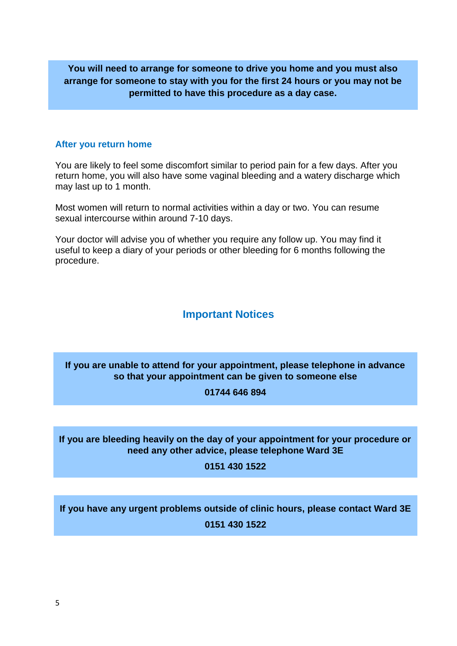# **You will need to arrange for someone to drive you home and you must also arrange for someone to stay with you for the first 24 hours or you may not be permitted to have this procedure as a day case.**

### **After you return home**

You are likely to feel some discomfort similar to period pain for a few days. After you return home, you will also have some vaginal bleeding and a watery discharge which may last up to 1 month.

Most women will return to normal activities within a day or two. You can resume sexual intercourse within around 7-10 days.

Your doctor will advise you of whether you require any follow up. You may find it useful to keep a diary of your periods or other bleeding for 6 months following the procedure.

# **Important Notices**

# **If you are unable to attend for your appointment, please telephone in advance so that your appointment can be given to someone else**

**01744 646 894**

# **If you are bleeding heavily on the day of your appointment for your procedure or need any other advice, please telephone Ward 3E**

**0151 430 1522**

**If you have any urgent problems outside of clinic hours, please contact Ward 3E 0151 430 1522**